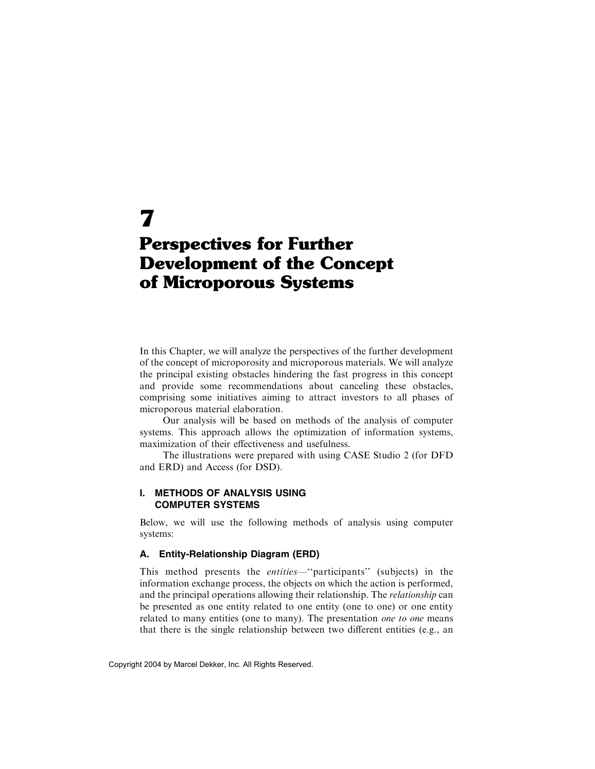# <span id="page-0-0"></span>7 Perspectives for Further Development of the Concept of Microporous Systems

In this Chapter, we will analyze the perspectives of the further development of the concept of microporosity and microporous materials. We will analyze the principal existing obstacles hindering the fast progress in this concept and provide some recommendations about canceling these obstacles, comprising some initiatives aiming to attract investors to all phases of microporous material elaboration.

Our analysis will be based on methods of the analysis of computer systems. This approach allows the optimization of information systems, maximization of their effectiveness and usefulness.

The illustrations were prepared with using CASE Studio 2 (for DFD and ERD) and Access (for DSD).

#### I. METHODS OF ANALYSIS USING COMPUTER SYSTEMS

Below, we will use the following methods of analysis using computer systems:

## A. Entity-Relationship Diagram (ERD)

This method presents the entities—''participants'' (subjects) in the information exchange process, the objects on which the action is performed, and the principal operations allowing their relationship. The relationship can be presented as one entity related to one entity (one to one) or one entity related to many entities (one to many). The presentation *one to one* means that there is the single relationship between two different entities (e.g., an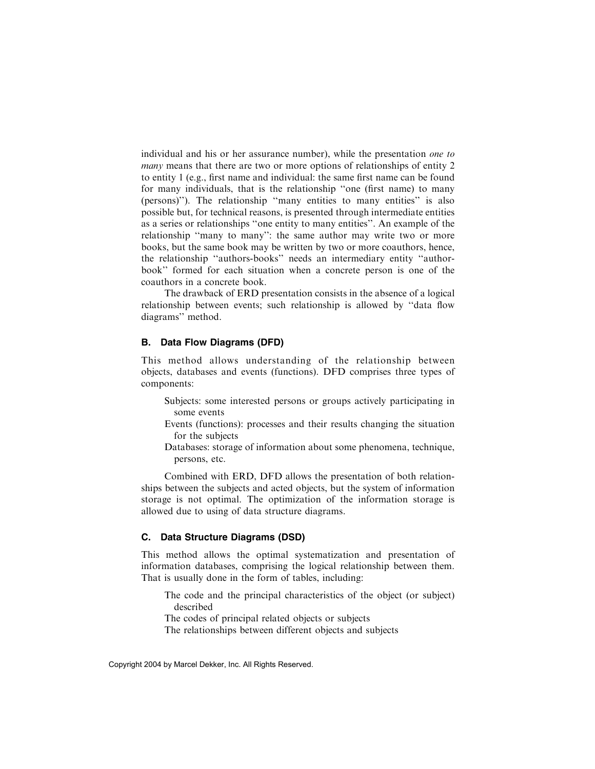individual and his or her assurance number), while the presentation one to many means that there are two or more options of relationships of entity 2 to entity 1 (e.g., first name and individual: the same first name can be found for many individuals, that is the relationship ''one (first name) to many (persons)''). The relationship ''many entities to many entities'' is also possible but, for technical reasons, is presented through intermediate entities as a series or relationships ''one entity to many entities''. An example of the relationship ''many to many'': the same author may write two or more books, but the same book may be written by two or more coauthors, hence, the relationship ''authors-books'' needs an intermediary entity ''authorbook'' formed for each situation when a concrete person is one of the coauthors in a concrete book.

The drawback of ERD presentation consists in the absence of a logical relationship between events; such relationship is allowed by ''data flow diagrams'' method.

## B. Data Flow Diagrams (DFD)

This method allows understanding of the relationship between objects, databases and events (functions). DFD comprises three types of components:

- Subjects: some interested persons or groups actively participating in some events
- Events (functions): processes and their results changing the situation for the subjects
- Databases: storage of information about some phenomena, technique, persons, etc.

Combined with ERD, DFD allows the presentation of both relationships between the subjects and acted objects, but the system of information storage is not optimal. The optimization of the information storage is allowed due to using of data structure diagrams.

# C. Data Structure Diagrams (DSD)

This method allows the optimal systematization and presentation of information databases, comprising the logical relationship between them. That is usually done in the form of tables, including:

The code and the principal characteristics of the object (or subject) described

The codes of principal related objects or subjects

The relationships between different objects and subjects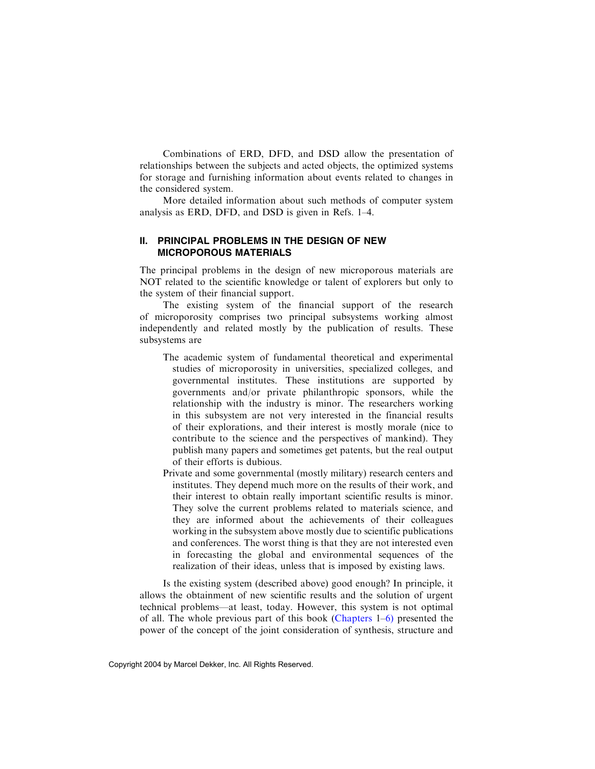Combinations of ERD, DFD, and DSD allow the presentation of relationships between the subjects and acted objects, the optimized systems for storage and furnishing information about events related to changes in the considered system.

More detailed information about such methods of computer system analysis as ERD, DFD, and DSD is given in Refs. 1–4.

## II. PRINCIPAL PROBLEMS IN THE DESIGN OF NEW MICROPOROUS MATERIALS

The principal problems in the design of new microporous materials are NOT related to the scientific knowledge or talent of explorers but only to the system of their financial support.

The existing system of the financial support of the research of microporosity comprises two principal subsystems working almost independently and related mostly by the publication of results. These subsystems are

- The academic system of fundamental theoretical and experimental studies of microporosity in universities, specialized colleges, and governmental institutes. These institutions are supported by governments and/or private philanthropic sponsors, while the relationship with the industry is minor. The researchers working in this subsystem are not very interested in the financial results of their explorations, and their interest is mostly morale (nice to contribute to the science and the perspectives of mankind). They publish many papers and sometimes get patents, but the real output of their efforts is dubious.
- Private and some governmental (mostly military) research centers and institutes. They depend much more on the results of their work, and their interest to obtain really important scientific results is minor. They solve the current problems related to materials science, and they are informed about the achievements of their colleagues working in the subsystem above mostly due to scientific publications and conferences. The worst thing is that they are not interested even in forecasting the global and environmental sequences of the realization of their ideas, unless that is imposed by existing laws.

Is the existing system (described above) good enough? In principle, it allows the obtainment of new scientific results and the solution of urgent technical problems—at least, today. However, this system is not optimal of all. The whole previous part of this book [\(Chapters](#page-0-0) 1[–6\)](#page-0-0) presented the power of the concept of the joint consideration of synthesis, structure and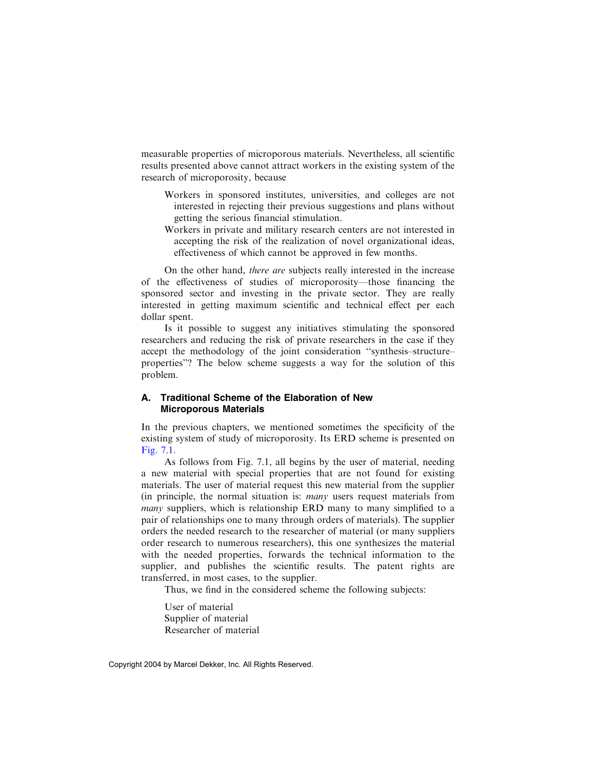measurable properties of microporous materials. Nevertheless, all scientific results presented above cannot attract workers in the existing system of the research of microporosity, because

- Workers in sponsored institutes, universities, and colleges are not interested in rejecting their previous suggestions and plans without getting the serious financial stimulation.
- Workers in private and military research centers are not interested in accepting the risk of the realization of novel organizational ideas, effectiveness of which cannot be approved in few months.

On the other hand, there are subjects really interested in the increase of the effectiveness of studies of microporosity—those financing the sponsored sector and investing in the private sector. They are really interested in getting maximum scientific and technical effect per each dollar spent.

Is it possible to suggest any initiatives stimulating the sponsored researchers and reducing the risk of private researchers in the case if they accept the methodology of the joint consideration ''synthesis–structure– properties''? The below scheme suggests a way for the solution of this problem.

### A. Traditional Scheme of the Elaboration of New Microporous Materials

In the previous chapters, we mentioned sometimes the specificity of the existing system of study of microporosity. Its ERD scheme is presented on [Fig. 7.1.](#page-4-0)

As follows from Fig. 7.1, all begins by the user of material, needing a new material with special properties that are not found for existing materials. The user of material request this new material from the supplier (in principle, the normal situation is: many users request materials from many suppliers, which is relationship ERD many to many simplified to a pair of relationships one to many through orders of materials). The supplier orders the needed research to the researcher of material (or many suppliers order research to numerous researchers), this one synthesizes the material with the needed properties, forwards the technical information to the supplier, and publishes the scientific results. The patent rights are transferred, in most cases, to the supplier.

Thus, we find in the considered scheme the following subjects:

User of material Supplier of material Researcher of material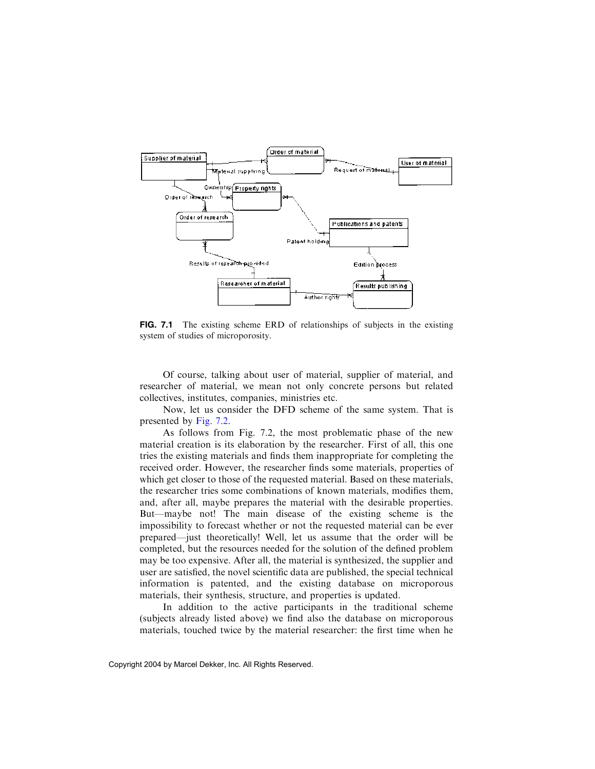<span id="page-4-0"></span>

FIG. 7.1 The existing scheme ERD of relationships of subjects in the existing system of studies of microporosity.

Of course, talking about user of material, supplier of material, and researcher of material, we mean not only concrete persons but related collectives, institutes, companies, ministries etc.

Now, let us consider the DFD scheme of the same system. That is presented by [Fig. 7.2.](#page-5-0)

As follows from Fig. 7.2, the most problematic phase of the new material creation is its elaboration by the researcher. First of all, this one tries the existing materials and finds them inappropriate for completing the received order. However, the researcher finds some materials, properties of which get closer to those of the requested material. Based on these materials, the researcher tries some combinations of known materials, modifies them, and, after all, maybe prepares the material with the desirable properties. But—maybe not! The main disease of the existing scheme is the impossibility to forecast whether or not the requested material can be ever prepared—just theoretically! Well, let us assume that the order will be completed, but the resources needed for the solution of the defined problem may be too expensive. After all, the material is synthesized, the supplier and user are satisfied, the novel scientific data are published, the special technical information is patented, and the existing database on microporous materials, their synthesis, structure, and properties is updated.

In addition to the active participants in the traditional scheme (subjects already listed above) we find also the database on microporous materials, touched twice by the material researcher: the first time when he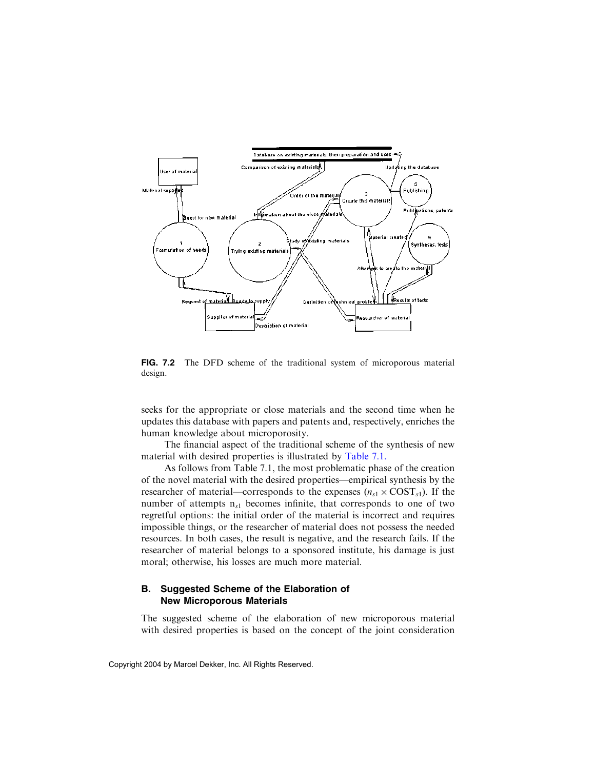<span id="page-5-0"></span>

FIG. 7.2 The DFD scheme of the traditional system of microporous material design.

seeks for the appropriate or close materials and the second time when he updates this database with papers and patents and, respectively, enriches the human knowledge about microporosity.

The financial aspect of the traditional scheme of the synthesis of new material with desired properties is illustrated by [Table 7.1.](#page-6-0)

As follows from Table 7.1, the most problematic phase of the creation of the novel material with the desired properties—empirical synthesis by the researcher of material—corresponds to the expenses  $(n_{s1} \times \text{COST}_{s1})$ . If the number of attempts  $n_{s1}$  becomes infinite, that corresponds to one of two regretful options: the initial order of the material is incorrect and requires impossible things, or the researcher of material does not possess the needed resources. In both cases, the result is negative, and the research fails. If the researcher of material belongs to a sponsored institute, his damage is just moral; otherwise, his losses are much more material.

#### B. Suggested Scheme of the Elaboration of New Microporous Materials

The suggested scheme of the elaboration of new microporous material with desired properties is based on the concept of the joint consideration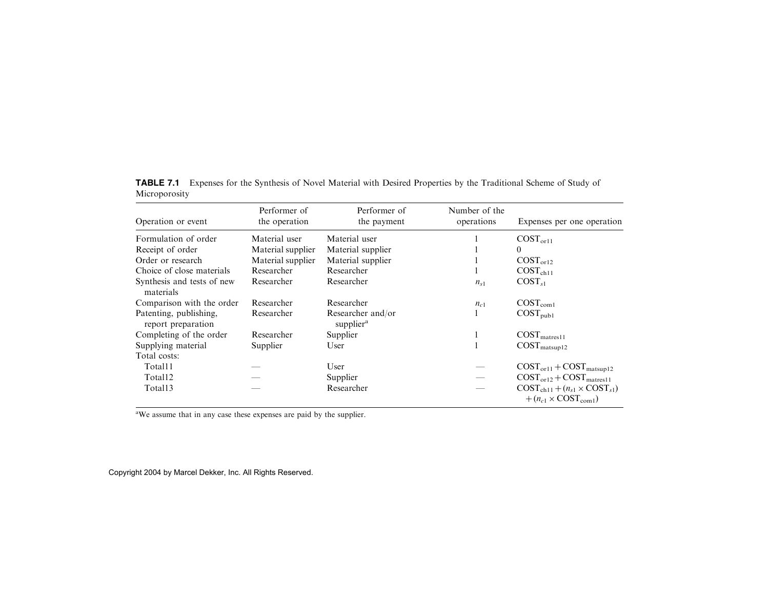| Operation or event                           | Performer of<br>the operation | Performer of<br>the payment                | Number of the<br>operations | Expenses per one operation                                                                |
|----------------------------------------------|-------------------------------|--------------------------------------------|-----------------------------|-------------------------------------------------------------------------------------------|
| Formulation of order                         | Material user                 | Material user                              |                             | $COST_{\text{or}11}$                                                                      |
| Receipt of order                             | Material supplier             | Material supplier                          |                             | $\theta$                                                                                  |
| Order or research                            | Material supplier             | Material supplier                          |                             | $COST_{or12}$                                                                             |
| Choice of close materials                    | Researcher                    | Researcher                                 |                             | COST <sub>ch11</sub>                                                                      |
| Synthesis and tests of new<br>materials      | Researcher                    | Researcher                                 | $n_{s1}$                    | $COST_{s1}$                                                                               |
| Comparison with the order                    | Researcher                    | Researcher                                 | $n_{c1}$                    | $COST_{\text{com1}}$                                                                      |
| Patenting, publishing,<br>report preparation | Researcher                    | Researcher and/or<br>supplier <sup>a</sup> |                             | $COST_{pub1}$                                                                             |
| Completing of the order                      | Researcher                    | Supplier                                   |                             | $COST_{\text{matters11}}$                                                                 |
| Supplying material                           | Supplier                      | User                                       |                             | $COST_{\text{matsup12}}$                                                                  |
| Total costs:                                 |                               |                                            |                             |                                                                                           |
| Total11                                      |                               | User                                       |                             | $COST_{or11} + COST_{\text{matsup12}}$                                                    |
| Total12                                      |                               | Supplier                                   |                             | $\text{COST}_{\text{or}12}+\text{COST}_{\text{matters}11}$                                |
| Total13                                      |                               | Researcher                                 |                             | $COST_{\text{ch11}} + (n_{s1} \times COST_{s1})$<br>$+(n_{c1} \times \text{COST}_{com1})$ |

<span id="page-6-0"></span>TABLE 7.1 Expenses for the Synthesis of Novel Material with Desired Properties by the Traditional Scheme of Study of Microporosity

<sup>a</sup>We assume that in any case these expenses are paid by the supplier.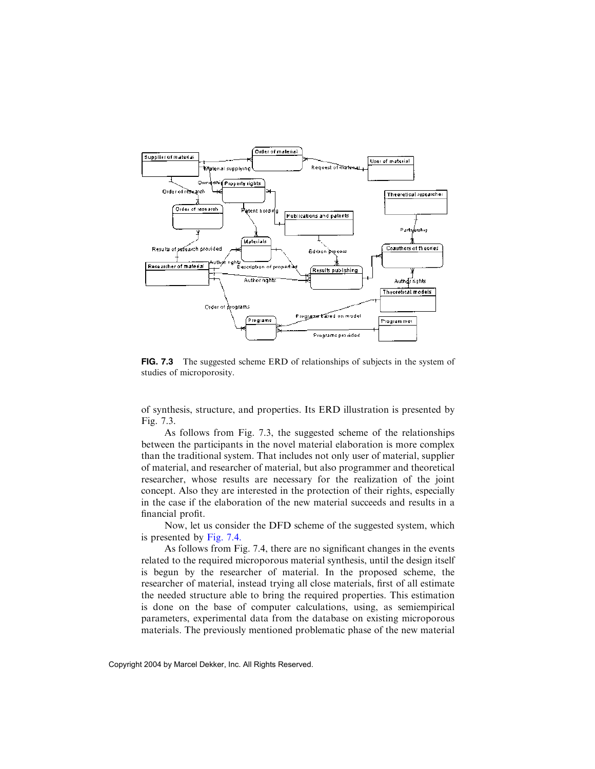

FIG. 7.3 The suggested scheme ERD of relationships of subjects in the system of studies of microporosity.

of synthesis, structure, and properties. Its ERD illustration is presented by Fig. 7.3.

As follows from Fig. 7.3, the suggested scheme of the relationships between the participants in the novel material elaboration is more complex than the traditional system. That includes not only user of material, supplier of material, and researcher of material, but also programmer and theoretical researcher, whose results are necessary for the realization of the joint concept. Also they are interested in the protection of their rights, especially in the case if the elaboration of the new material succeeds and results in a financial profit.

Now, let us consider the DFD scheme of the suggested system, which is presented by [Fig. 7.4.](#page-8-0)

As follows from Fig. 7.4, there are no significant changes in the events related to the required microporous material synthesis, until the design itself is begun by the researcher of material. In the proposed scheme, the researcher of material, instead trying all close materials, first of all estimate the needed structure able to bring the required properties. This estimation is done on the base of computer calculations, using, as semiempirical parameters, experimental data from the database on existing microporous materials. The previously mentioned problematic phase of the new material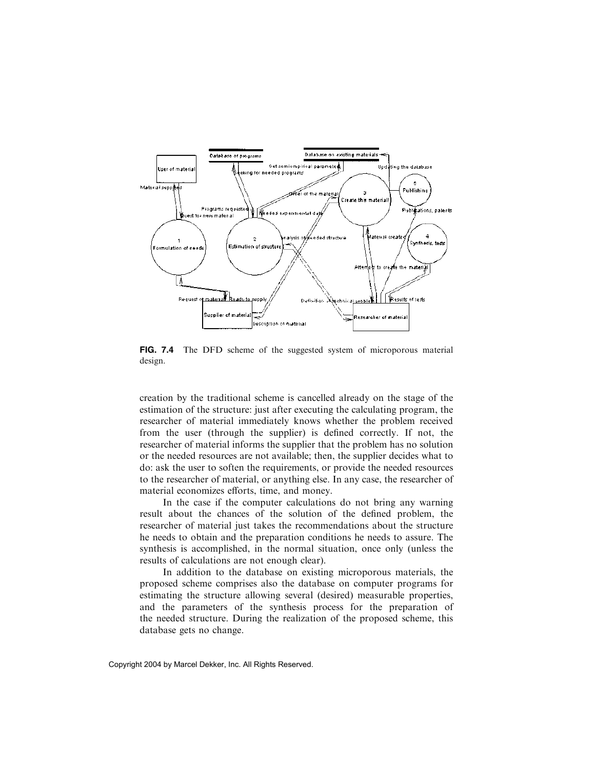<span id="page-8-0"></span>

FIG. 7.4 The DFD scheme of the suggested system of microporous material design.

creation by the traditional scheme is cancelled already on the stage of the estimation of the structure: just after executing the calculating program, the researcher of material immediately knows whether the problem received from the user (through the supplier) is defined correctly. If not, the researcher of material informs the supplier that the problem has no solution or the needed resources are not available; then, the supplier decides what to do: ask the user to soften the requirements, or provide the needed resources to the researcher of material, or anything else. In any case, the researcher of material economizes efforts, time, and money.

In the case if the computer calculations do not bring any warning result about the chances of the solution of the defined problem, the researcher of material just takes the recommendations about the structure he needs to obtain and the preparation conditions he needs to assure. The synthesis is accomplished, in the normal situation, once only (unless the results of calculations are not enough clear).

In addition to the database on existing microporous materials, the proposed scheme comprises also the database on computer programs for estimating the structure allowing several (desired) measurable properties, and the parameters of the synthesis process for the preparation of the needed structure. During the realization of the proposed scheme, this database gets no change.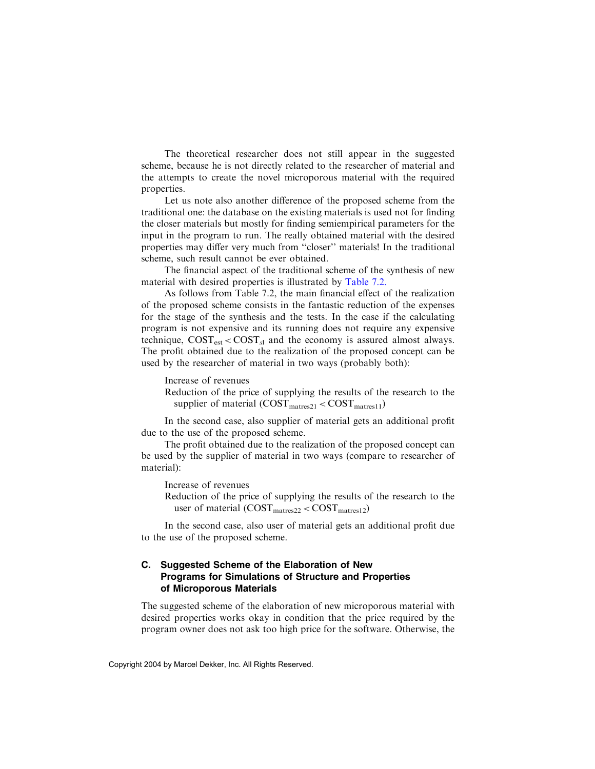The theoretical researcher does not still appear in the suggested scheme, because he is not directly related to the researcher of material and the attempts to create the novel microporous material with the required properties.

Let us note also another difference of the proposed scheme from the traditional one: the database on the existing materials is used not for finding the closer materials but mostly for finding semiempirical parameters for the input in the program to run. The really obtained material with the desired properties may differ very much from ''closer'' materials! In the traditional scheme, such result cannot be ever obtained.

The financial aspect of the traditional scheme of the synthesis of new material with desired properties is illustrated by [Table 7.2.](#page-10-0)

As follows from Table 7.2, the main financial effect of the realization of the proposed scheme consists in the fantastic reduction of the expenses for the stage of the synthesis and the tests. In the case if the calculating program is not expensive and its running does not require any expensive technique,  $COST_{est} < COST_{sd}$  and the economy is assured almost always. The profit obtained due to the realization of the proposed concept can be used by the researcher of material in two ways (probably both):

Increase of revenues

Reduction of the price of supplying the results of the research to the supplier of material  $(COST<sub>matres21</sub> < COST<sub>matres11</sub>)$ 

In the second case, also supplier of material gets an additional profit due to the use of the proposed scheme.

The profit obtained due to the realization of the proposed concept can be used by the supplier of material in two ways (compare to researcher of material):

Increase of revenues

Reduction of the price of supplying the results of the research to the user of material  $(COST<sub>matres</sub><sub>22</sub> < COST<sub>matres</sub><sub>12</sub>)$ 

In the second case, also user of material gets an additional profit due to the use of the proposed scheme.

#### C. Suggested Scheme of the Elaboration of New Programs for Simulations of Structure and Properties of Microporous Materials

The suggested scheme of the elaboration of new microporous material with desired properties works okay in condition that the price required by the program owner does not ask too high price for the software. Otherwise, the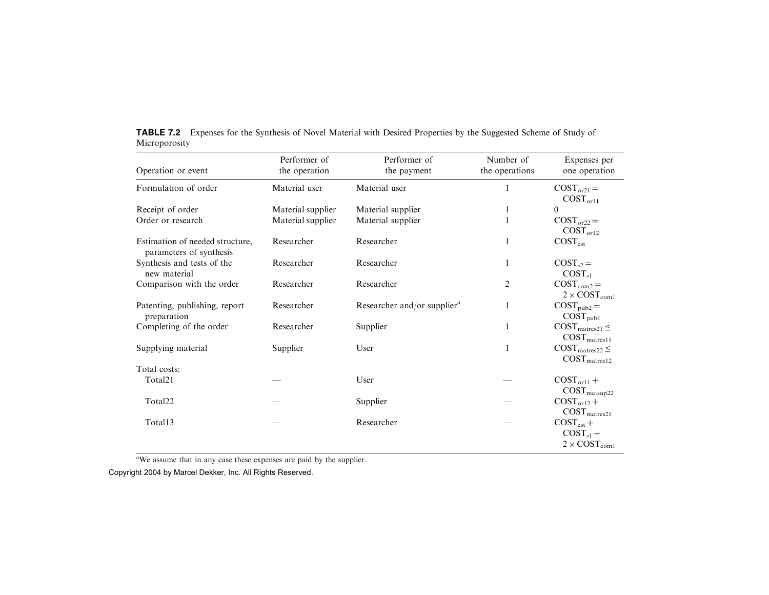| Operation or event                                         | Performer of<br>the operation | Performer of<br>the payment             | Number of<br>the operations | Expenses per<br>one operation                                              |
|------------------------------------------------------------|-------------------------------|-----------------------------------------|-----------------------------|----------------------------------------------------------------------------|
| Formulation of order                                       | Material user                 | Material user                           |                             | $COST_{or21} =$<br>$COST_{or11}$                                           |
| Receipt of order                                           | Material supplier             | Material supplier                       | 1                           | $\theta$                                                                   |
| Order or research                                          | Material supplier             | Material supplier                       |                             | $COST_{or22} =$<br>COST <sub>or12</sub>                                    |
| Estimation of needed structure,<br>parameters of synthesis | Researcher                    | Researcher                              |                             | $COST_{est}$                                                               |
| Synthesis and tests of the<br>new material                 | Researcher                    | Researcher                              |                             | $COST_{s2} =$<br>$COST_{s1}$                                               |
| Comparison with the order                                  | Researcher                    | Researcher                              | 2                           | $COST_{com2} =$<br>$2 \times \text{COST}_{\text{com1}}$                    |
| Patenting, publishing, report<br>preparation               | Researcher                    | Researcher and/or supplier <sup>a</sup> |                             | $COST_{pub2} =$<br>$COST_{pub1}$                                           |
| Completing of the order                                    | Researcher                    | Supplier                                | 1                           | $COST_{\text{matres}21}$ $\leq$<br>$\mathrm{COST}_{\mathrm{matres}11}$     |
| Supplying material                                         | Supplier                      | User                                    |                             | $\text{COST}_{\text{matres22}}\leq$<br>$\mathrm{COST}_{\mathrm{matres}12}$ |
| Total costs:<br>Total21                                    |                               | User                                    |                             | $COST_{or11} +$<br>$\mathrm{COST}_{\mathrm{matsup22}}$                     |
| Total <sub>22</sub>                                        |                               | Supplier                                |                             | $COST_{or12} +$<br>$\mathrm{COST}_{\mathrm{matres}21}$                     |
| Total13                                                    |                               | Researcher                              |                             | $COST_{est} +$<br>$COST_{s1} +$<br>$2\times COST_{\rm com1}$               |

<span id="page-10-0"></span>**TABLE 7.2** Expenses for the Synthesis of Novel Material with Desired Properties by the Suggested Scheme of Study of Microporosity

<sup>a</sup>We assume that in any case these expenses are paid by the supplier.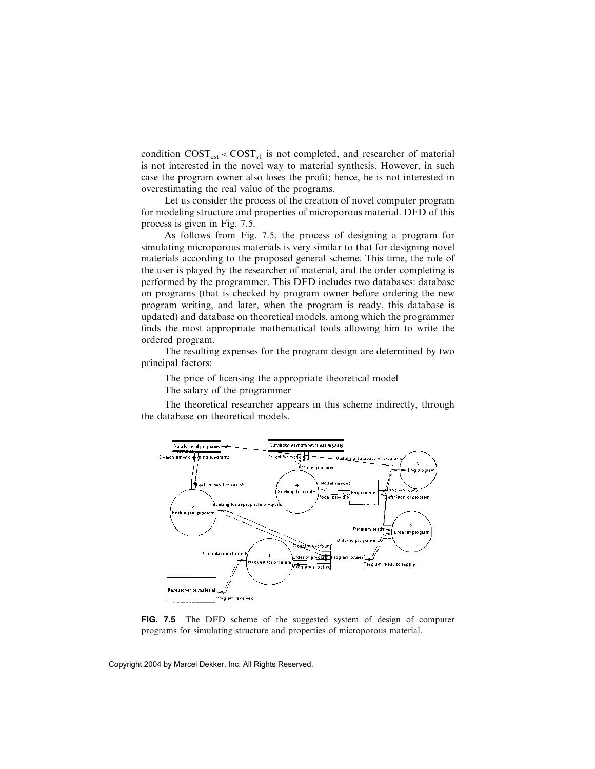condition  $COST_{est} < COST_{s1}$  is not completed, and researcher of material is not interested in the novel way to material synthesis. However, in such case the program owner also loses the profit; hence, he is not interested in overestimating the real value of the programs.

Let us consider the process of the creation of novel computer program for modeling structure and properties of microporous material. DFD of this process is given in Fig. 7.5.

As follows from Fig. 7.5, the process of designing a program for simulating microporous materials is very similar to that for designing novel materials according to the proposed general scheme. This time, the role of the user is played by the researcher of material, and the order completing is performed by the programmer. This DFD includes two databases: database on programs (that is checked by program owner before ordering the new program writing, and later, when the program is ready, this database is updated) and database on theoretical models, among which the programmer finds the most appropriate mathematical tools allowing him to write the ordered program.

The resulting expenses for the program design are determined by two principal factors:

The price of licensing the appropriate theoretical model

The salary of the programmer

The theoretical researcher appears in this scheme indirectly, through the database on theoretical models.



FIG. 7.5 The DFD scheme of the suggested system of design of computer programs for simulating structure and properties of microporous material.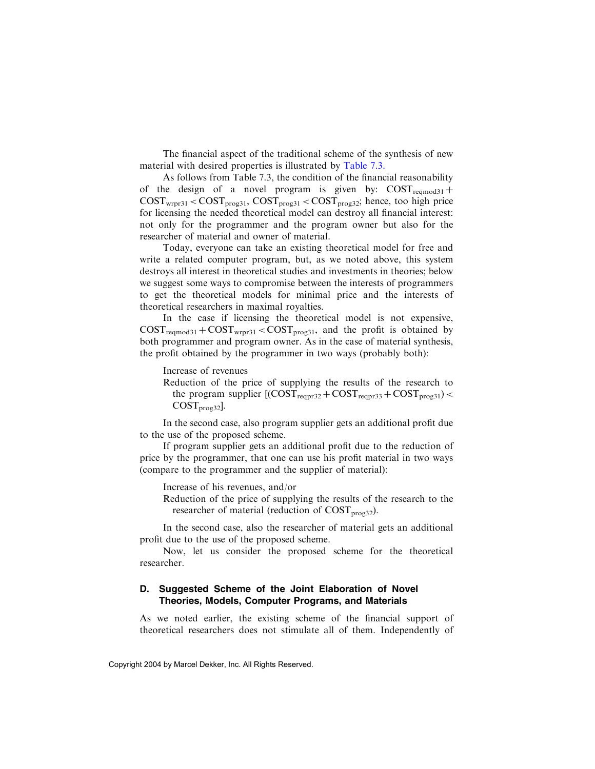The financial aspect of the traditional scheme of the synthesis of new material with desired properties is illustrated by [Table 7.3.](#page-13-0)

As follows from Table 7.3, the condition of the financial reasonability of the design of a novel program is given by:  $COST_{\text{reomod31}} +$  $\text{COST}_{\text{wrong31}} < \text{COST}_{\text{prog31}}, \text{COST}_{\text{prog31}} < \text{COST}_{\text{prog32}}$ ; hence, too high price for licensing the needed theoretical model can destroy all financial interest: not only for the programmer and the program owner but also for the researcher of material and owner of material.

Today, everyone can take an existing theoretical model for free and write a related computer program, but, as we noted above, this system destroys all interest in theoretical studies and investments in theories; below we suggest some ways to compromise between the interests of programmers to get the theoretical models for minimal price and the interests of theoretical researchers in maximal royalties.

In the case if licensing the theoretical model is not expensive,  $COST_{\text{remod31}} + COST_{\text{wrpr31}} < COST_{\text{prog31}}$ , and the profit is obtained by both programmer and program owner. As in the case of material synthesis, the profit obtained by the programmer in two ways (probably both):

Increase of revenues

Reduction of the price of supplying the results of the research to the program supplier  $[(\text{COST}_{\text{reorr32}} + \text{COST}_{\text{reorr33}} + \text{COST}_{\text{prog31}})]$  <  $COST<sub>prog32</sub>$ ].

In the second case, also program supplier gets an additional profit due to the use of the proposed scheme.

If program supplier gets an additional profit due to the reduction of price by the programmer, that one can use his profit material in two ways (compare to the programmer and the supplier of material):

Increase of his revenues, and/or

Reduction of the price of supplying the results of the research to the researcher of material (reduction of  $COST<sub>prog32</sub>$ ).

In the second case, also the researcher of material gets an additional profit due to the use of the proposed scheme.

Now, let us consider the proposed scheme for the theoretical researcher.

#### D. Suggested Scheme of the Joint Elaboration of Novel Theories, Models, Computer Programs, and Materials

As we noted earlier, the existing scheme of the financial support of theoretical researchers does not stimulate all of them. Independently of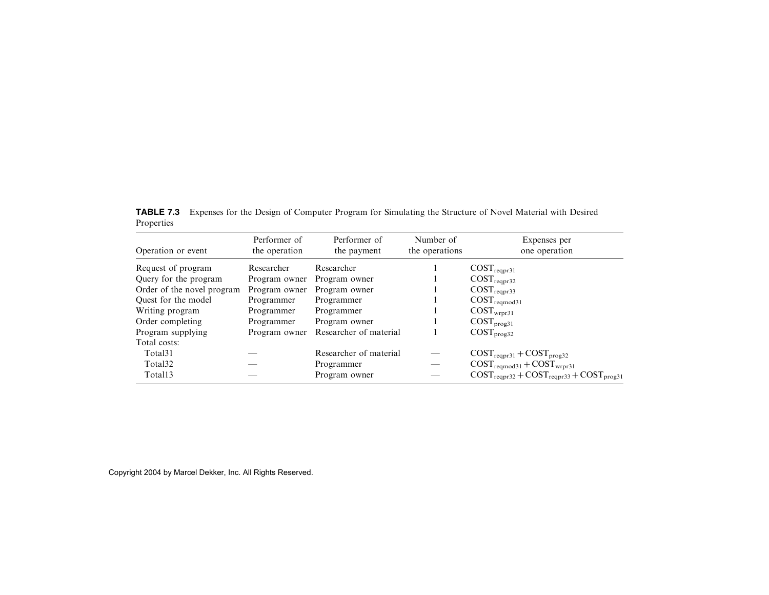| Operation or event         | Performer of<br>the operation | Performer of<br>the payment | Number of<br>the operations | Expenses per<br>one operation                                                               |
|----------------------------|-------------------------------|-----------------------------|-----------------------------|---------------------------------------------------------------------------------------------|
| Request of program         | Researcher                    | Researcher                  |                             | $COST_{\text{reqpr31}}$                                                                     |
| Query for the program      | Program owner                 | Program owner               |                             | $COST_{\text{reqpr32}}$                                                                     |
| Order of the novel program | Program owner                 | Program owner               |                             | $COST_{\text{reqpr33}}$                                                                     |
| Quest for the model        | Programmer                    | Programmer                  |                             | $COST_{\text{regmod}31}$                                                                    |
| Writing program            | Programmer                    | Programmer                  |                             | $COST_{\text{wrpr31}}$                                                                      |
| Order completing           | Programmer                    | Program owner               |                             | COST <sub>prog31</sub>                                                                      |
| Program supplying          | Program owner                 | Researcher of material      |                             | COST <sub>prog32</sub>                                                                      |
| Total costs:               |                               |                             |                             |                                                                                             |
| Total <sub>31</sub>        |                               | Researcher of material      |                             | $COST_{\text{reqpr31}} + COST_{\text{prog32}}$                                              |
| Total32                    |                               | Programmer                  | _                           | $COST_{\text{reqmod}31} + COST_{\text{wrpr31}}$                                             |
| Total13                    |                               | Program owner               |                             | $\text{COST}_{\text{reapr32}} + \text{COST}_{\text{reapr33}} + \text{COST}_{\text{prog31}}$ |

<span id="page-13-0"></span>TABLE 7.3 Expenses for the Design of Computer Program for Simulating the Structure of Novel Material with Desired Properties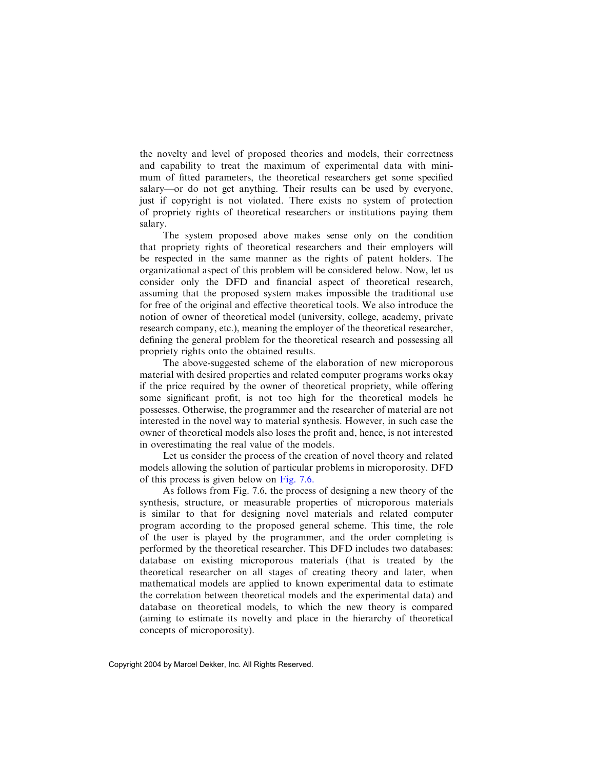the novelty and level of proposed theories and models, their correctness and capability to treat the maximum of experimental data with minimum of fitted parameters, the theoretical researchers get some specified salary—or do not get anything. Their results can be used by everyone, just if copyright is not violated. There exists no system of protection of propriety rights of theoretical researchers or institutions paying them salary.

The system proposed above makes sense only on the condition that propriety rights of theoretical researchers and their employers will be respected in the same manner as the rights of patent holders. The organizational aspect of this problem will be considered below. Now, let us consider only the DFD and financial aspect of theoretical research, assuming that the proposed system makes impossible the traditional use for free of the original and effective theoretical tools. We also introduce the notion of owner of theoretical model (university, college, academy, private research company, etc.), meaning the employer of the theoretical researcher, defining the general problem for the theoretical research and possessing all propriety rights onto the obtained results.

The above-suggested scheme of the elaboration of new microporous material with desired properties and related computer programs works okay if the price required by the owner of theoretical propriety, while offering some significant profit, is not too high for the theoretical models he possesses. Otherwise, the programmer and the researcher of material are not interested in the novel way to material synthesis. However, in such case the owner of theoretical models also loses the profit and, hence, is not interested in overestimating the real value of the models.

Let us consider the process of the creation of novel theory and related models allowing the solution of particular problems in microporosity. DFD of this process is given below on [Fig. 7.6.](#page-15-0)

As follows from Fig. 7.6, the process of designing a new theory of the synthesis, structure, or measurable properties of microporous materials is similar to that for designing novel materials and related computer program according to the proposed general scheme. This time, the role of the user is played by the programmer, and the order completing is performed by the theoretical researcher. This DFD includes two databases: database on existing microporous materials (that is treated by the theoretical researcher on all stages of creating theory and later, when mathematical models are applied to known experimental data to estimate the correlation between theoretical models and the experimental data) and database on theoretical models, to which the new theory is compared (aiming to estimate its novelty and place in the hierarchy of theoretical concepts of microporosity).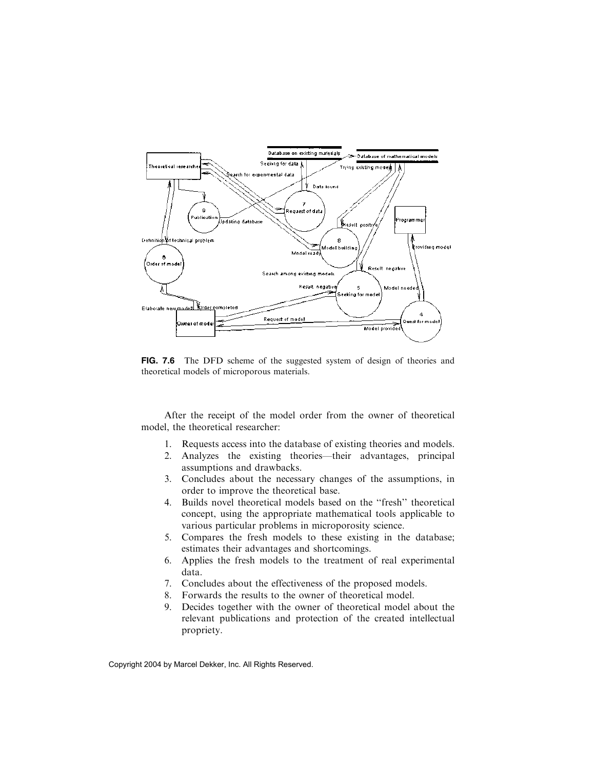<span id="page-15-0"></span>

FIG. 7.6 The DFD scheme of the suggested system of design of theories and theoretical models of microporous materials.

After the receipt of the model order from the owner of theoretical model, the theoretical researcher:

- 1. Requests access into the database of existing theories and models.
- 2. Analyzes the existing theories—their advantages, principal assumptions and drawbacks.
- 3. Concludes about the necessary changes of the assumptions, in order to improve the theoretical base.
- 4. Builds novel theoretical models based on the ''fresh'' theoretical concept, using the appropriate mathematical tools applicable to various particular problems in microporosity science.
- 5. Compares the fresh models to these existing in the database; estimates their advantages and shortcomings.
- 6. Applies the fresh models to the treatment of real experimental data.
- 7. Concludes about the effectiveness of the proposed models.
- 8. Forwards the results to the owner of theoretical model.
- 9. Decides together with the owner of theoretical model about the relevant publications and protection of the created intellectual propriety.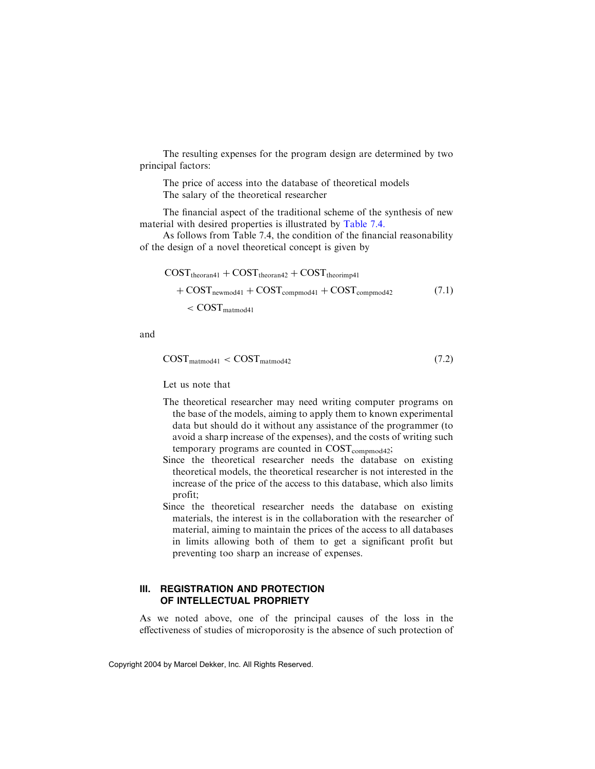The resulting expenses for the program design are determined by two principal factors:

The price of access into the database of theoretical models The salary of the theoretical researcher

The financial aspect of the traditional scheme of the synthesis of new material with desired properties is illustrated by [Table 7.4.](#page-17-0)

As follows from Table 7.4, the condition of the financial reasonability of the design of a novel theoretical concept is given by

$$
COST_{theorem41} + COST_{theorem42} + COST_{theorem41} + COST_{newmod41} + COST_{common41} + COST_{common42} < COST_{matmod41}
$$
 (7.1)

and

$$
COST_{\text{matmod}41} < COST_{\text{matmod}42} \tag{7.2}
$$

Let us note that

- The theoretical researcher may need writing computer programs on the base of the models, aiming to apply them to known experimental data but should do it without any assistance of the programmer (to avoid a sharp increase of the expenses), and the costs of writing such temporary programs are counted in  $COST_{\text{common}42}$ ;
- Since the theoretical researcher needs the database on existing theoretical models, the theoretical researcher is not interested in the increase of the price of the access to this database, which also limits profit;
- Since the theoretical researcher needs the database on existing materials, the interest is in the collaboration with the researcher of material, aiming to maintain the prices of the access to all databases in limits allowing both of them to get a significant profit but preventing too sharp an increase of expenses.

#### III. REGISTRATION AND PROTECTION OF INTELLECTUAL PROPRIETY

As we noted above, one of the principal causes of the loss in the effectiveness of studies of microporosity is the absence of such protection of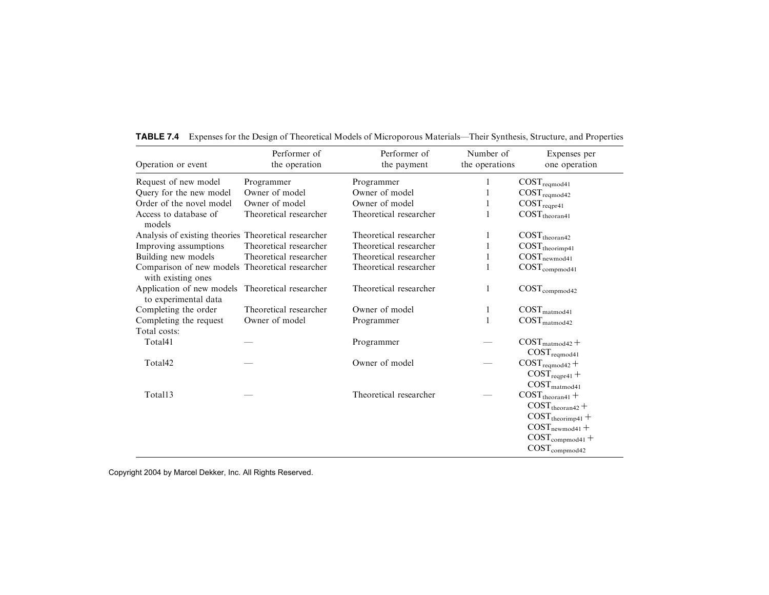| Operation or event                                                    | Performer of<br>the operation | Performer of<br>the payment | Number of<br>the operations | Expenses per<br>one operation                                                                                                                                      |
|-----------------------------------------------------------------------|-------------------------------|-----------------------------|-----------------------------|--------------------------------------------------------------------------------------------------------------------------------------------------------------------|
| Request of new model                                                  | Programmer                    | Programmer                  |                             | $\mathrm{COST}_{\mathrm{reqmod}41}$                                                                                                                                |
| Query for the new model                                               | Owner of model                | Owner of model              |                             | $\text{COST}_{\text{reqmod}42}$                                                                                                                                    |
| Order of the novel model                                              | Owner of model                | Owner of model              |                             | $\text{COST}_{\text{reqpr41}}$                                                                                                                                     |
| Access to database of<br>models                                       | Theoretical researcher        | Theoretical researcher      |                             | $COST_{\rm theorem41}$                                                                                                                                             |
| Analysis of existing theories Theoretical researcher                  |                               | Theoretical researcher      | 1                           | $\mathrm{COST}_{\mathrm{theoran42}}$                                                                                                                               |
| Improving assumptions                                                 | Theoretical researcher        | Theoretical researcher      |                             | $\text{COST}_{\text{theorimp41}}$                                                                                                                                  |
| Building new models                                                   | Theoretical researcher        | Theoretical researcher      | 1                           | $COST_{newmod41}$                                                                                                                                                  |
| Comparison of new models Theoretical researcher<br>with existing ones |                               | Theoretical researcher      |                             | $COST_{\mathrm{compound41}}$                                                                                                                                       |
| Application of new models<br>to experimental data                     | Theoretical researcher        | Theoretical researcher      | 1                           | $COST_{\text{compound42}}$                                                                                                                                         |
| Completing the order                                                  | Theoretical researcher        | Owner of model              | $\mathbf{1}$                | $\text{COST}_{\text{matmod}41}$                                                                                                                                    |
| Completing the request                                                | Owner of model                | Programmer                  |                             | $\mathrm{COST}_{\mathrm{matmod}42}$                                                                                                                                |
| Total costs:                                                          |                               |                             |                             |                                                                                                                                                                    |
| Total41                                                               |                               | Programmer                  |                             | $COST_{\text{matmod}42} +$<br>$COST_{\text{reqmod}41}$                                                                                                             |
| Total42                                                               |                               | Owner of model              |                             | $COST_{\text{reqmod}42} +$<br>$\mathrm{COST}_{\mathrm{reqpr41}} +$<br>$COST_{\text{matmod}41}$                                                                     |
| Total13                                                               |                               | Theoretical researcher      |                             | $\mathrm{COST}_{\mathrm{theoran41}}+$<br>$\text{COST}_{\text{theorem}42} +$<br>$COST_{theorimp41} +$<br>$COST_{newmod41} +$<br>$\text{COST}_{\text{compound41}} +$ |
|                                                                       |                               |                             |                             | $COST_{\text{compound42}}$                                                                                                                                         |

<span id="page-17-0"></span>TABLE 7.4 Expenses for the Design of Theoretical Models of Microporous Materials—Their Synthesis, Structure, and Properties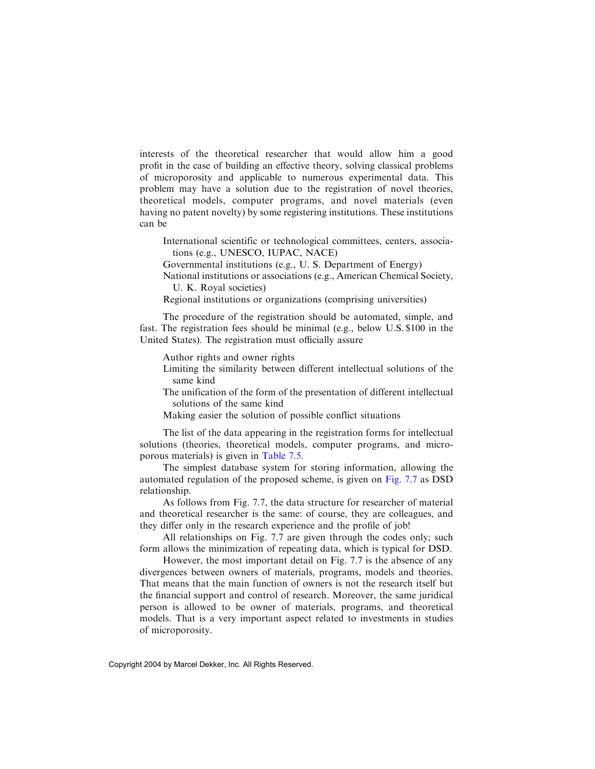interests of the theoretical researcher that would allow him a good profit in the case of building an effective theory, solving classical problems of microporosity and applicable to numerous experimental data. This problem may have a solution due to the registration of novel theories, theoretical models, computer programs, and novel materials (even having no patent novelty) by some registering institutions. These institutions can be

International scientific or technological committees, centers, associations (e.g., UNESCO, IUPAC, NACE)

Governmental institutions (e.g., U. S. Department of Energy)

National institutions or associations (e.g., American Chemical Society, U. K. Royal societies)

Regional institutions or organizations (comprising universities)

The procedure of the registration should be automated, simple, and fast. The registration fees should be minimal (e.g., below U.S. \$100 in the United States). The registration must officially assure

Author rights and owner rights

- Limiting the similarity between different intellectual solutions of the same kind
- The unification of the form of the presentation of different intellectual solutions of the same kind

Making easier the solution of possible conflict situations

The list of the data appearing in the registration forms for intellectual solutions (theories, theoretical models, computer programs, and microporous materials) is given in [Table 7.5.](#page-19-0)

The simplest database system for storing information, allowing the automated regulation of the proposed scheme, is given on [Fig. 7.7](#page-20-0) as DSD relationship.

As follows from Fig. 7.7, the data structure for researcher of material and theoretical researcher is the same: of course, they are colleagues, and they differ only in the research experience and the profile of job!

All relationships on Fig. 7.7 are given through the codes only; such form allows the minimization of repeating data, which is typical for DSD.

However, the most important detail on Fig. 7.7 is the absence of any divergences between owners of materials, programs, models and theories. That means that the main function of owners is not the research itself but the financial support and control of research. Moreover, the same juridical person is allowed to be owner of materials, programs, and theoretical models. That is a very important aspect related to investments in studies of microporosity.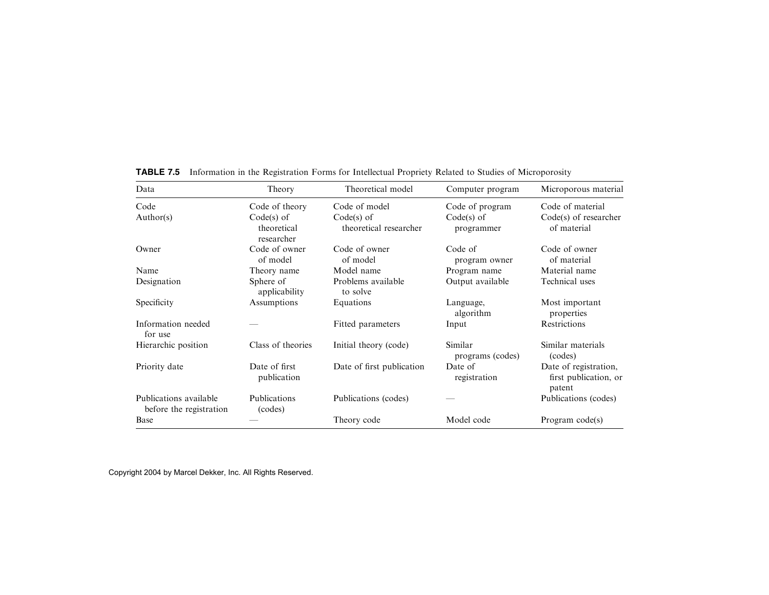| Data                                              | Theory                                    | Theoretical model                      | Computer program            | Microporous material                                     |
|---------------------------------------------------|-------------------------------------------|----------------------------------------|-----------------------------|----------------------------------------------------------|
| Code                                              | Code of theory                            | Code of model                          | Code of program             | Code of material                                         |
| Author(s)                                         | $Code(s)$ of<br>theoretical<br>researcher | $Code(s)$ of<br>theoretical researcher | $Code(s)$ of<br>programmer  | $Code(s)$ of researcher<br>of material                   |
| Owner                                             | Code of owner<br>of model                 | Code of owner<br>of model              | Code of<br>program owner    | Code of owner<br>of material                             |
| Name                                              | Theory name                               | Model name                             | Program name                | Material name                                            |
| Designation                                       | Sphere of<br>applicability                | Problems available<br>to solve         | Output available            | Technical uses                                           |
| Specificity                                       | Assumptions                               | Equations                              | Language,<br>algorithm      | Most important<br>properties                             |
| Information needed<br>for use                     |                                           | Fitted parameters                      | Input                       | Restrictions                                             |
| Hierarchic position                               | Class of theories                         | Initial theory (code)                  | Similar<br>programs (codes) | Similar materials<br>(codes)                             |
| Priority date                                     | Date of first<br>publication              | Date of first publication              | Date of<br>registration     | Date of registration,<br>first publication, or<br>patent |
| Publications available<br>before the registration | Publications<br>(codes)                   | Publications (codes)                   |                             | Publications (codes)                                     |
| Base                                              |                                           | Theory code                            | Model code                  | Program $code(s)$                                        |

<span id="page-19-0"></span>**TABLE 7.5** Information in the Registration Forms for Intellectual Propriety Related to Studies of Microporosity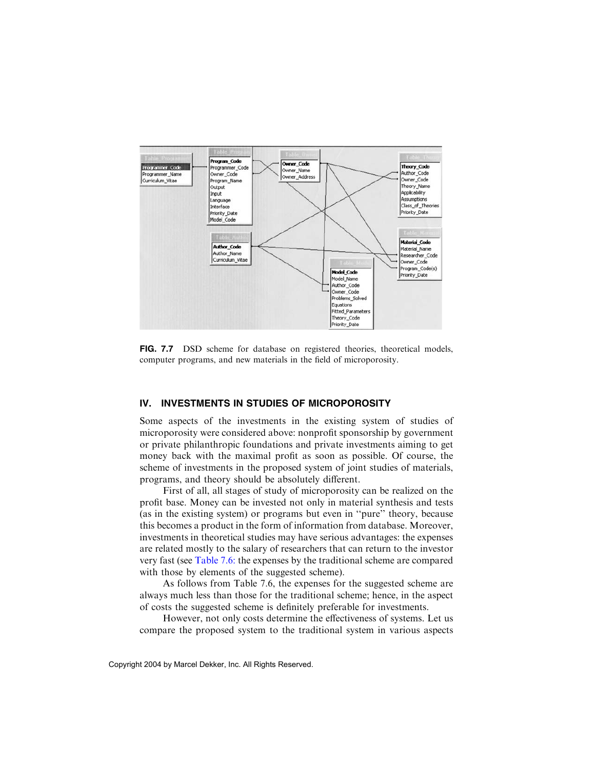<span id="page-20-0"></span>

FIG. 7.7 DSD scheme for database on registered theories, theoretical models, computer programs, and new materials in the field of microporosity.

#### IV. INVESTMENTS IN STUDIES OF MICROPOROSITY

Some aspects of the investments in the existing system of studies of microporosity were considered above: nonprofit sponsorship by government or private philanthropic foundations and private investments aiming to get money back with the maximal profit as soon as possible. Of course, the scheme of investments in the proposed system of joint studies of materials, programs, and theory should be absolutely different.

First of all, all stages of study of microporosity can be realized on the profit base. Money can be invested not only in material synthesis and tests (as in the existing system) or programs but even in ''pure'' theory, because this becomes a product in the form of information from database. Moreover, investments in theoretical studies may have serious advantages: the expenses are related mostly to the salary of researchers that can return to the investor very fast (see [Table 7.6:](#page-21-0) the expenses by the traditional scheme are compared with those by elements of the suggested scheme).

As follows from Table 7.6, the expenses for the suggested scheme are always much less than those for the traditional scheme; hence, in the aspect of costs the suggested scheme is definitely preferable for investments.

However, not only costs determine the effectiveness of systems. Let us compare the proposed system to the traditional system in various aspects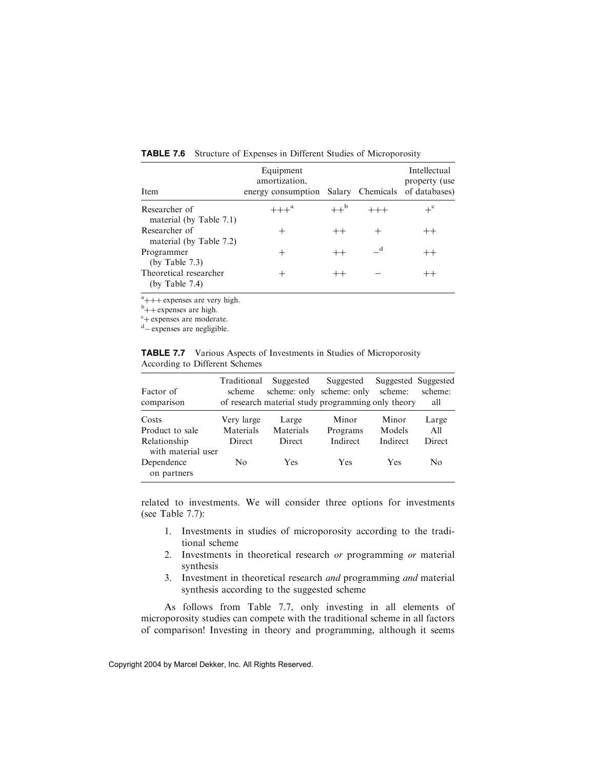| Item                                     | Equipment<br>amortization.<br>energy consumption |              | Salary Chemicals | Intellectual<br>property (use<br>of databases) |
|------------------------------------------|--------------------------------------------------|--------------|------------------|------------------------------------------------|
| Researcher of                            | $+++^a$                                          | $++^{\rm b}$ | $+++$            | $+^{\circ}$                                    |
| material (by Table 7.1)                  |                                                  |              |                  |                                                |
| Researcher of                            |                                                  | $++$         | $^+$             | $^{++}$                                        |
| material (by Table 7.2)                  |                                                  |              |                  |                                                |
| Programmer                               |                                                  | $^{++}$      | $\mathbf d$      | $^{++}$                                        |
| (by Table $7.3$ )                        |                                                  |              |                  |                                                |
| Theoretical researcher<br>(by Table 7.4) |                                                  | $++$         |                  |                                                |

<span id="page-21-0"></span>TABLE 7.6 Structure of Expenses in Different Studies of Microporosity

 $a_{+++}$  expenses are very high.

 $b_{++}$  expenses are high.

<sup>c</sup>+ expenses are moderate.<br><sup>d</sup>— expenses are negligible.

| According to Different Schemes                                 |                                   |                              |                                                                                              |                                |                        |
|----------------------------------------------------------------|-----------------------------------|------------------------------|----------------------------------------------------------------------------------------------|--------------------------------|------------------------|
| Factor of<br>comparison                                        | Traditional<br>scheme             | Suggested                    | Suggested<br>scheme: only scheme: only<br>of research material study programming only theory | Suggested Suggested<br>scheme: | scheme:<br>all         |
| Costs<br>Product to sale<br>Relationship<br>with material user | Very large<br>Materials<br>Direct | Large<br>Materials<br>Direct | Minor<br>Programs<br>Indirect                                                                | Minor<br>Models<br>Indirect    | Large<br>A11<br>Direct |
| Dependence<br>on partners                                      | No                                | <b>Yes</b>                   | Yes                                                                                          | Yes                            | No                     |

TABLE 7.7 Various Aspects of Investments in Studies of Microporosity

related to investments. We will consider three options for investments (see Table 7.7):

- 1. Investments in studies of microporosity according to the traditional scheme
- 2. Investments in theoretical research or programming or material synthesis
- 3. Investment in theoretical research and programming and material synthesis according to the suggested scheme

As follows from Table 7.7, only investing in all elements of microporosity studies can compete with the traditional scheme in all factors of comparison! Investing in theory and programming, although it seems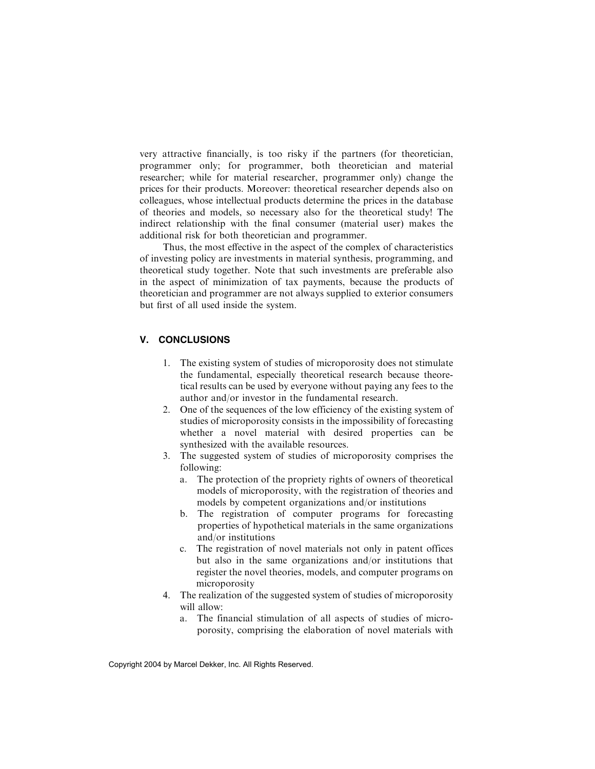very attractive financially, is too risky if the partners (for theoretician, programmer only; for programmer, both theoretician and material researcher; while for material researcher, programmer only) change the prices for their products. Moreover: theoretical researcher depends also on colleagues, whose intellectual products determine the prices in the database of theories and models, so necessary also for the theoretical study! The indirect relationship with the final consumer (material user) makes the additional risk for both theoretician and programmer.

Thus, the most effective in the aspect of the complex of characteristics of investing policy are investments in material synthesis, programming, and theoretical study together. Note that such investments are preferable also in the aspect of minimization of tax payments, because the products of theoretician and programmer are not always supplied to exterior consumers but first of all used inside the system.

## V. CONCLUSIONS

- 1. The existing system of studies of microporosity does not stimulate the fundamental, especially theoretical research because theoretical results can be used by everyone without paying any fees to the author and/or investor in the fundamental research.
- 2. One of the sequences of the low efficiency of the existing system of studies of microporosity consists in the impossibility of forecasting whether a novel material with desired properties can be synthesized with the available resources.
- 3. The suggested system of studies of microporosity comprises the following:
	- a. The protection of the propriety rights of owners of theoretical models of microporosity, with the registration of theories and models by competent organizations and/or institutions
	- b. The registration of computer programs for forecasting properties of hypothetical materials in the same organizations and/or institutions
	- c. The registration of novel materials not only in patent offices but also in the same organizations and/or institutions that register the novel theories, models, and computer programs on microporosity
- 4. The realization of the suggested system of studies of microporosity will allow:
	- a. The financial stimulation of all aspects of studies of microporosity, comprising the elaboration of novel materials with